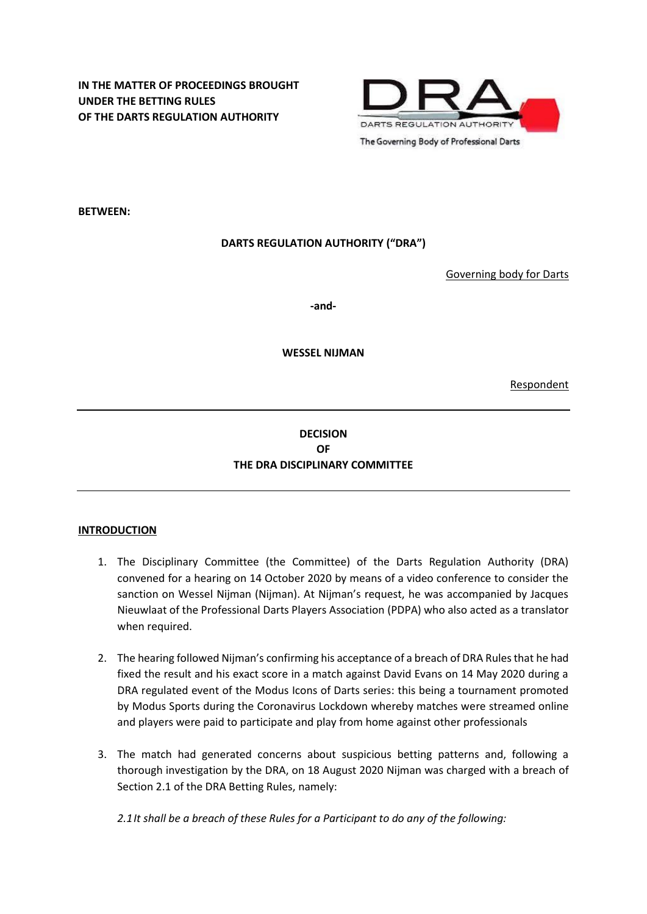

**BETWEEN:**

# **DARTS REGULATION AUTHORITY ("DRA")**

Governing body for Darts

**-and-**

**WESSEL NIJMAN**

Respondent

# **DECISION OF THE DRA DISCIPLINARY COMMITTEE**

## **INTRODUCTION**

- 1. The Disciplinary Committee (the Committee) of the Darts Regulation Authority (DRA) convened for a hearing on 14 October 2020 by means of a video conference to consider the sanction on Wessel Nijman (Nijman). At Nijman's request, he was accompanied by Jacques Nieuwlaat of the Professional Darts Players Association (PDPA) who also acted as a translator when required.
- 2. The hearing followed Nijman's confirming his acceptance of a breach of DRA Rules that he had fixed the result and his exact score in a match against David Evans on 14 May 2020 during a DRA regulated event of the Modus Icons of Darts series: this being a tournament promoted by Modus Sports during the Coronavirus Lockdown whereby matches were streamed online and players were paid to participate and play from home against other professionals
- 3. The match had generated concerns about suspicious betting patterns and, following a thorough investigation by the DRA, on 18 August 2020 Nijman was charged with a breach of Section 2.1 of the DRA Betting Rules, namely:

*2.1It shall be a breach of these Rules for a Participant to do any of the following:*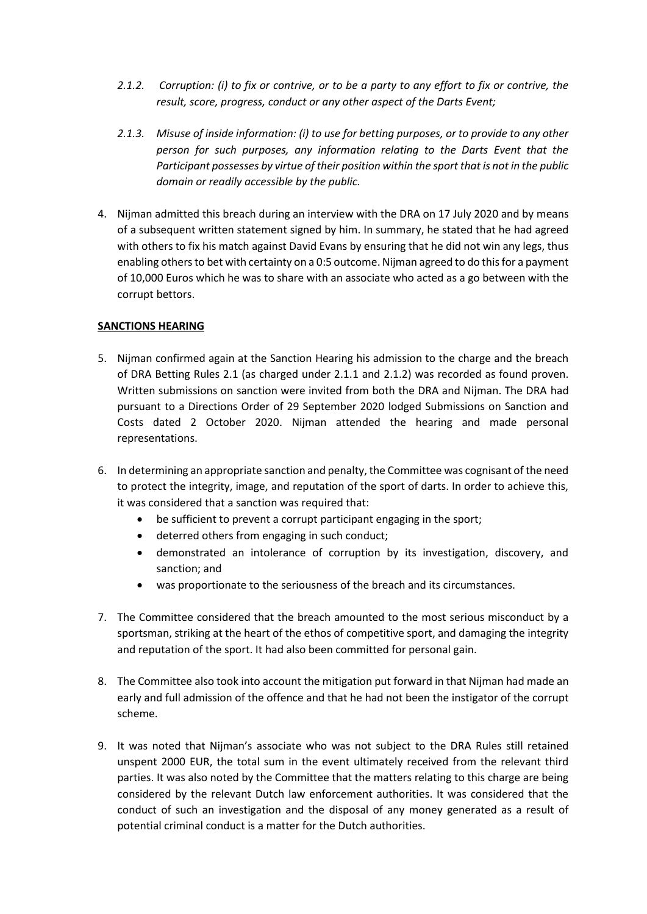- *2.1.2. Corruption: (i) to fix or contrive, or to be a party to any effort to fix or contrive, the result, score, progress, conduct or any other aspect of the Darts Event;*
- *2.1.3. Misuse of inside information: (i) to use for betting purposes, or to provide to any other person for such purposes, any information relating to the Darts Event that the Participant possesses by virtue of their position within the sport that is not in the public domain or readily accessible by the public.*
- 4. Nijman admitted this breach during an interview with the DRA on 17 July 2020 and by means of a subsequent written statement signed by him. In summary, he stated that he had agreed with others to fix his match against David Evans by ensuring that he did not win any legs, thus enabling others to bet with certainty on a 0:5 outcome. Nijman agreed to do this for a payment of 10,000 Euros which he was to share with an associate who acted as a go between with the corrupt bettors.

### **SANCTIONS HEARING**

- 5. Nijman confirmed again at the Sanction Hearing his admission to the charge and the breach of DRA Betting Rules 2.1 (as charged under 2.1.1 and 2.1.2) was recorded as found proven. Written submissions on sanction were invited from both the DRA and Nijman. The DRA had pursuant to a Directions Order of 29 September 2020 lodged Submissions on Sanction and Costs dated 2 October 2020. Nijman attended the hearing and made personal representations.
- 6. In determining an appropriate sanction and penalty, the Committee was cognisant of the need to protect the integrity, image, and reputation of the sport of darts. In order to achieve this, it was considered that a sanction was required that:
	- be sufficient to prevent a corrupt participant engaging in the sport;
	- deterred others from engaging in such conduct;
	- demonstrated an intolerance of corruption by its investigation, discovery, and sanction; and
	- was proportionate to the seriousness of the breach and its circumstances.
- 7. The Committee considered that the breach amounted to the most serious misconduct by a sportsman, striking at the heart of the ethos of competitive sport, and damaging the integrity and reputation of the sport. It had also been committed for personal gain.
- 8. The Committee also took into account the mitigation put forward in that Nijman had made an early and full admission of the offence and that he had not been the instigator of the corrupt scheme.
- 9. It was noted that Nijman's associate who was not subject to the DRA Rules still retained unspent 2000 EUR, the total sum in the event ultimately received from the relevant third parties. It was also noted by the Committee that the matters relating to this charge are being considered by the relevant Dutch law enforcement authorities. It was considered that the conduct of such an investigation and the disposal of any money generated as a result of potential criminal conduct is a matter for the Dutch authorities.